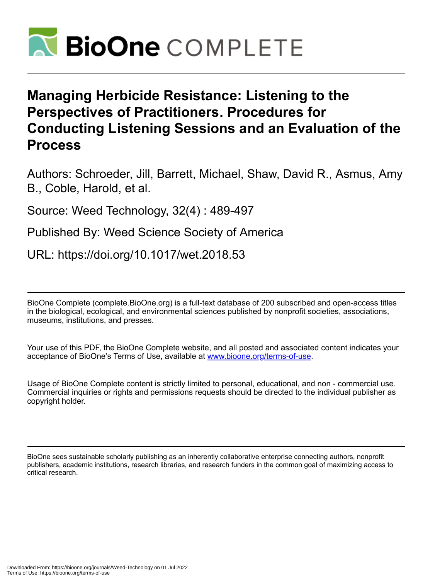

# **Managing Herbicide Resistance: Listening to the Perspectives of Practitioners. Procedures for Conducting Listening Sessions and an Evaluation of the Process**

Authors: Schroeder, Jill, Barrett, Michael, Shaw, David R., Asmus, Amy B., Coble, Harold, et al.

Source: Weed Technology, 32(4) : 489-497

Published By: Weed Science Society of America

URL: https://doi.org/10.1017/wet.2018.53

BioOne Complete (complete.BioOne.org) is a full-text database of 200 subscribed and open-access titles in the biological, ecological, and environmental sciences published by nonprofit societies, associations, museums, institutions, and presses.

Your use of this PDF, the BioOne Complete website, and all posted and associated content indicates your acceptance of BioOne's Terms of Use, available at www.bioone.org/terms-of-use.

Usage of BioOne Complete content is strictly limited to personal, educational, and non - commercial use. Commercial inquiries or rights and permissions requests should be directed to the individual publisher as copyright holder.

BioOne sees sustainable scholarly publishing as an inherently collaborative enterprise connecting authors, nonprofit publishers, academic institutions, research libraries, and research funders in the common goal of maximizing access to critical research.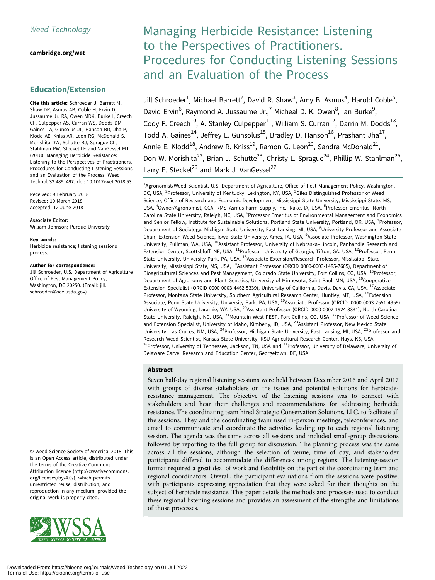# [cambridge.org/wet](https://www.cambridge.org/wet)

# Education/Extension

Cite this article: Schroeder J, Barrett M, Shaw DR, Asmus AB, Coble H, Ervin D, Jussaume Jr. RA, Owen MDK, Burke I, Creech CF, Culpepper AS, Curran WS, Dodds DM, Gaines TA, Gunsolus JL, Hanson BD, Jha P, Klodd AE, Kniss AR, Leon RG, McDonald S, Morishita DW, Schutte BJ, Sprague CL, Stahlman PW, Steckel LE and VanGessel MJ. (2018). Managing Herbicide Resistance: Listening to the Perspectives of Practitioners. Procedures for Conducting Listening Sessions and an Evaluation of the Process. Weed Technol 32:489–497. doi: 10.1017/wet.2018.53

Received: 9 February 2018 Revised: 10 March 2018 Accepted: 12 June 2018

Associate Editor:

William Johnson; Purdue University

### Key words:

Herbicide resistance; listening sessions process.

#### Author for correspondence:

Jill Schroeder, U.S. Department of Agriculture Office of Pest Management Policy, Washington, DC 20250. (Email: [jill.](mailto:jill.schroeder@oce.usda.gov) [schroeder@oce.usda.gov\)](mailto:jill.schroeder@oce.usda.gov)

© Weed Science Society of America, 2018. This is an Open Access article, distributed under the terms of the Creative Commons Attribution licence (http://creativecommons. org/licenses/by/4.0/), which permits unrestricted reuse, distribution, and reproduction in any medium, provided the original work is properly cited.



# Managing Herbicide Resistance: Listening to the Perspectives of Practitioners. Procedures for Conducting Listening Sessions and an Evaluation of the Process

Jill Schroeder<sup>1</sup>, Michael Barrett<sup>2</sup>, David R. Shaw<sup>3</sup>, Amy B. Asmus<sup>4</sup>, Harold Coble<sup>5</sup>, David Ervin<sup>6</sup>, Raymond A. Jussaume Jr.,<sup>7</sup> Micheal D. K. Owen<sup>8</sup>, Ian Burke<sup>9</sup>, Cody F. Creech<sup>10</sup>, A. Stanley Culpepper<sup>11</sup>, William S. Curran<sup>12</sup>, Darrin M. Dodds<sup>13</sup>, Todd A. Gaines<sup>14</sup>, Jeffrey L. Gunsolus<sup>15</sup>, Bradley D. Hanson<sup>16</sup>, Prashant Jha<sup>17</sup>, Annie E. Klodd<sup>18</sup>, Andrew R. Kniss<sup>19</sup>, Ramon G. Leon<sup>20</sup>, Sandra McDonald<sup>21</sup>, Don W. Morishita<sup>22</sup>, Brian J. Schutte<sup>23</sup>, Christy L. Sprague<sup>24</sup>, Phillip W. Stahlman<sup>25</sup>, Larry E. Steckel<sup>26</sup> and Mark J. VanGessel<sup>27</sup>

<sup>1</sup>Agronomist/Weed Scientist, U.S. Department of Agriculture, Office of Pest Management Policy, Washington, DC, USA, <sup>2</sup>Professor, University of Kentucky, Lexington, KY, USA, <sup>3</sup>Giles Distinguished Professor of Weed Science, Office of Research and Economic Development, Mississippi State University, Mississippi State, MS, USA, <sup>4</sup>Owner/Agronomist, CCA, RMS-Asmus Farm Supply, Inc., Rake, IA, USA, <sup>5</sup>Professor Emeritus, North Carolina State University, Raleigh, NC, USA, <sup>6</sup>Professor Emeritus of Environmental Management and Economics and Senior Fellow, Institute for Sustainable Solutions, Portland State University, Portland, OR, USA, <sup>7</sup>Professor, Department of Sociology, Michigan State University, East Lansing, MI, USA, <sup>8</sup>University Professor and Associate Chair, Extension Weed Science, Iowa State University, Ames, IA, USA, <sup>9</sup>Associate Professor, Washington State University, Pullman, WA, USA, <sup>10</sup>Assistant Professor, University of Nebraska-Lincoln, Panhandle Research and Extension Center, Scottsbluff, NE, USA, 11Professor, University of Georgia, Tifton, GA, USA, 12Professor, Penn State University, University Park, PA, USA, <sup>13</sup>Associate Extension/Research Professor, Mississippi State University, Mississippi State, MS, USA, 14Assistant Professor (ORCID 0000-0003-1485-7665), Department of Bioagricultural Sciences and Pest Management, Colorado State University, Fort Collins, CO, USA, <sup>15</sup>Professor, Department of Agronomy and Plant Genetics, University of Minnesota, Saint Paul, MN, USA, <sup>16</sup>Cooperative Extension Specialist (ORCID 0000-0003-4462-5339), University of California, Davis, Davis, CA, USA, 17Associate Professor, Montana State University, Southern Agricultural Research Center, Huntley, MT, USA, <sup>18</sup>Extension Associate, Penn State University, University Park, PA, USA, <sup>19</sup>Associate Professor (ORCID: 0000-0003-2551-4959). University of Wyoming, Laramie, WY, USA, <sup>20</sup>Assistant Professor (ORCID 0000-0002-1924-3331), North Carolina State University, Raleigh, NC, USA, <sup>21</sup>Mountain West PEST, Fort Collins, CO, USA, <sup>22</sup>Professor of Weed Science and Extension Specialist, University of Idaho, Kimberly, ID, USA, <sup>23</sup>Assistant Professor, New Mexico State University, Las Cruces, NM, USA, <sup>24</sup>Professor, Michigan State University, East Lansing, MI, USA, <sup>25</sup>Professor and Research Weed Scientist, Kansas State University, KSU Agricultural Research Center, Hays, KS, USA, <sup>26</sup>Professor, University of Tennessee, Jackson, TN, USA and <sup>27</sup>Professor, University of Delaware, University of Delaware Carvel Research and Education Center, Georgetown, DE, USA

# Abstract

Seven half-day regional listening sessions were held between December 2016 and April 2017 with groups of diverse stakeholders on the issues and potential solutions for herbicideresistance management. The objective of the listening sessions was to connect with stakeholders and hear their challenges and recommendations for addressing herbicide resistance. The coordinating team hired Strategic Conservation Solutions, LLC, to facilitate all the sessions. They and the coordinating team used in-person meetings, teleconferences, and email to communicate and coordinate the activities leading up to each regional listening session. The agenda was the same across all sessions and included small-group discussions followed by reporting to the full group for discussion. The planning process was the same across all the sessions, although the selection of venue, time of day, and stakeholder participants differed to accommodate the differences among regions. The listening-session format required a great deal of work and flexibility on the part of the coordinating team and regional coordinators. Overall, the participant evaluations from the sessions were positive, with participants expressing appreciation that they were asked for their thoughts on the subject of herbicide resistance. This paper details the methods and processes used to conduct these regional listening sessions and provides an assessment of the strengths and limitations of those processes.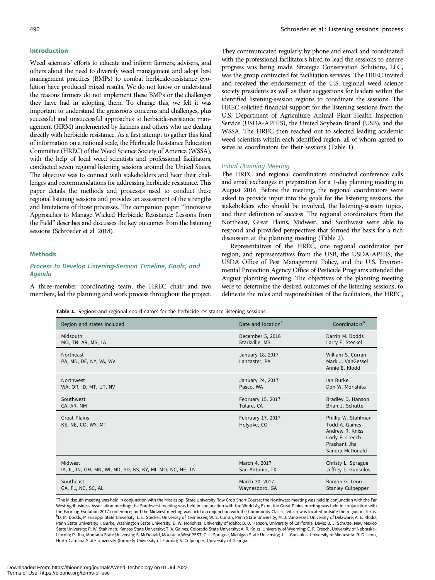# <span id="page-2-0"></span>Introduction

Weed scientists' efforts to educate and inform farmers, advisers, and others about the need to diversify weed management and adopt best management practices (BMPs) to combat herbicide-resistance evolution have produced mixed results. We do not know or understand the reasons farmers do not implement these BMPs or the challenges they have had in adopting them. To change this, we felt it was important to understand the grassroots concerns and challenges, plus

successful and unsuccessful approaches to herbicide-resistance management (HRM) implemented by farmers and others who are dealing directly with herbicide resistance. As a first attempt to gather this kind of information on a national scale, the Herbicide Resistance Education Committee (HREC) of the Weed Science Society of America (WSSA), with the help of local weed scientists and professional facilitators, conducted seven regional listening sessions around the United States. The objective was to connect with stakeholders and hear their challenges and recommendations for addressing herbicide resistance. This paper details the methods and processes used to conduct these regional listening sessions and provides an assessment of the strengths and limitations of those processes. The companion paper "Innovative Approaches to Manage Wicked Herbicide Resistance: Lessons from the Field" describes and discusses the key outcomes from the listening sessions (Schroeder et al. [2018](#page-9-0)).

# Methods

# Process to Develop Listening-Session Timeline, Goals, and Agenda

A three-member coordinating team, the HREC chair and two members, led the planning and work process throughout the project. They communicated regularly by phone and email and coordinated with the professional facilitators hired to lead the sessions to ensure progress was being made. Strategic Conservation Solutions, LLC, was the group contracted for facilitation services. The HREC invited and received the endorsement of the U.S. regional weed science society presidents as well as their suggestions for leaders within the identified listening-session regions to coordinate the sessions. The HREC solicited financial support for the listening sessions from the U.S. Department of Agriculture Animal Plant Health Inspection Service (USDA-APHIS), the United Soybean Board (USB), and the WSSA. The HREC then reached out to selected leading academic weed scientists within each identified region, all of whom agreed to serve as coordinators for their sessions (Table 1).

#### Initial Planning Meeting

The HREC and regional coordinators conducted conference calls and email exchanges in preparation for a 1-day planning meeting in August 2016. Before the meeting, the regional coordinators were asked to provide input into the goals for the listening sessions, the stakeholders who should be involved, the listening-session topics, and their definition of success. The regional coordinators from the Northeast, Great Plains, Midwest, and Southwest were able to respond and provided perspectives that formed the basis for a rich discussion at the planning meeting [\(Table 2\)](#page-3-0).

Representatives of the HREC, one regional coordinator per region, and representatives from the USB, the USDA-APHIS, the USDA Office of Pest Management Policy, and the U.S. Environmental Protection Agency Office of Pesticide Programs attended the August planning meeting. The objectives of the planning meeting were to determine the desired outcomes of the listening sessions; to delineate the roles and responsibilities of the facilitators, the HREC,

Table 1. Regions and regional coordinators for the herbicide-resistance listening sessions.

| Region and states included                                 | Date and location <sup>a</sup>    | Coordinators <sup>b</sup>                                                                                     |
|------------------------------------------------------------|-----------------------------------|---------------------------------------------------------------------------------------------------------------|
| Midsouth                                                   | December 5, 2016                  | Darrin M. Dodds                                                                                               |
| MO, TN, AR, MS, LA                                         | Starkville, MS                    | Larry E. Steckel                                                                                              |
| Northeast<br>PA, MD, DE, NY, VA, WV                        | January 18, 2017<br>Lancaster, PA | William S. Curran<br>Mark J. VanGessel<br>Annie E. Klodd                                                      |
| Northwest                                                  | January 24, 2017                  | lan Burke                                                                                                     |
| WA, OR, ID, MT, UT, NV                                     | Pasco, WA                         | Don W. Morishita                                                                                              |
| Southwest                                                  | February 15, 2017                 | Bradley D. Hanson                                                                                             |
| CA, AR, NM                                                 | Tulare, CA                        | Brian J. Schutte                                                                                              |
| <b>Great Plains</b><br>KS, NE, CO, WY, MT                  | February 17, 2017<br>Holyoke, CO  | Phillip W. Stahlman<br>Todd A. Gaines<br>Andrew R. Kniss<br>Cody F. Creech<br>Prashant Jha<br>Sandra McDonald |
| Midwest                                                    | March 4, 2017                     | Christy L. Sprague                                                                                            |
| IA, IL, IN, OH, MN, WI, ND, SD, KS, KY, MI, MO, NC, NE, TN | San Antonio, TX                   | Jeffrey L. Gunsolus                                                                                           |
| Southeast                                                  | March 30, 2017                    | Ramon G. Leon                                                                                                 |
| GA, FL, NC, SC, AL                                         | Waynesboro, GA                    | <b>Stanley Culpepper</b>                                                                                      |

<sup>a</sup>The Midsouth meeting was held in conjunction with the Mississippi State University Row Crop Short Course; the Northwest meeting was held in conjunction with the Far West Agribusiness Association meeting; the Southwest meeting was held in conjunction with the World Ag Expo; the Great Plains meeting was held in conjunction with the Farming Evolution 2017 conference; and the Midwest meeting was held in conjunction with the Commodity Classic, which was located outside the region in Texas. <sup>b</sup>D. M. Dodds, Mississippi State University; L. E. Steckel, University of Tennessee; W. S. Curran, Penn State University; M. J. VanGessel, University of Delaware; A. E. Klodd, Penn State University; I. Burke, Washington State University; D. W. Morishita, University of Idaho; B. D. Hanson, University of California, Davis; B. J. Schutte, New Mexico State University; P. W. Stahlman, Kansas State University; T. A. Gaines, Colorado State University; A. R. Kniss, University of Wyoming; C. F. Creech, University of Nebraska– Lincoln; P. Jha, Montana State University; S. McDonald, Mountain West PEST; C. L. Sprague, Michigan State University; J. L. Gunsolus, University of Minnesota; R. G. Leon, North Carolina State University (formerly University of Florida); S. Culpepper, University of Georgia.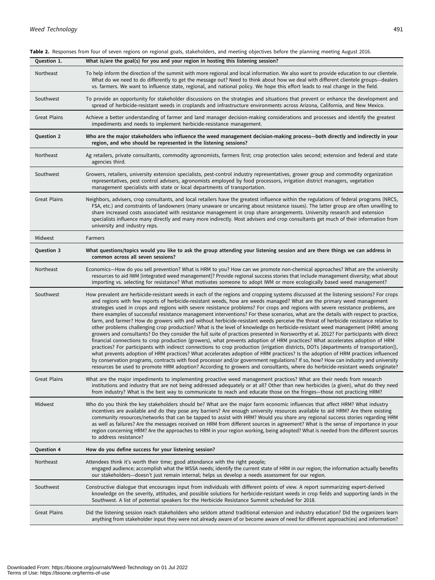| Question 1.         | What is/are the goal(s) for you and your region in hosting this listening session?                                                                                                                                                                                                                                                                                                                                                                                                                                                                                                                                                                                                                                                                                                                                                                                                                                                                                                                                                                                                                                                                                                                                                                                                                                                                                                                                                                                                                                                                                                                                                                      |
|---------------------|---------------------------------------------------------------------------------------------------------------------------------------------------------------------------------------------------------------------------------------------------------------------------------------------------------------------------------------------------------------------------------------------------------------------------------------------------------------------------------------------------------------------------------------------------------------------------------------------------------------------------------------------------------------------------------------------------------------------------------------------------------------------------------------------------------------------------------------------------------------------------------------------------------------------------------------------------------------------------------------------------------------------------------------------------------------------------------------------------------------------------------------------------------------------------------------------------------------------------------------------------------------------------------------------------------------------------------------------------------------------------------------------------------------------------------------------------------------------------------------------------------------------------------------------------------------------------------------------------------------------------------------------------------|
| Northeast           | To help inform the direction of the summit with more regional and local information. We also want to provide education to our clientele.<br>What do we need to do differently to get the message out? Need to think about how we deal with different clientele groups-dealers<br>vs. farmers. We want to influence state, regional, and national policy. We hope this effort leads to real change in the field.                                                                                                                                                                                                                                                                                                                                                                                                                                                                                                                                                                                                                                                                                                                                                                                                                                                                                                                                                                                                                                                                                                                                                                                                                                         |
| Southwest           | To provide an opportunity for stakeholder discussions on the strategies and situations that prevent or enhance the development and<br>spread of herbicide-resistant weeds in croplands and infrastructure environments across Arizona, California, and New Mexico.                                                                                                                                                                                                                                                                                                                                                                                                                                                                                                                                                                                                                                                                                                                                                                                                                                                                                                                                                                                                                                                                                                                                                                                                                                                                                                                                                                                      |
| <b>Great Plains</b> | Achieve a better understanding of farmer and land manager decision-making considerations and processes and identify the greatest<br>impediments and needs to implement herbicide-resistance management.                                                                                                                                                                                                                                                                                                                                                                                                                                                                                                                                                                                                                                                                                                                                                                                                                                                                                                                                                                                                                                                                                                                                                                                                                                                                                                                                                                                                                                                 |
| Question 2          | Who are the major stakeholders who influence the weed management decision-making process—both directly and indirectly in your<br>region, and who should be represented in the listening sessions?                                                                                                                                                                                                                                                                                                                                                                                                                                                                                                                                                                                                                                                                                                                                                                                                                                                                                                                                                                                                                                                                                                                                                                                                                                                                                                                                                                                                                                                       |
| Northeast           | Ag retailers, private consultants, commodity agronomists, farmers first; crop protection sales second; extension and federal and state<br>agencies third.                                                                                                                                                                                                                                                                                                                                                                                                                                                                                                                                                                                                                                                                                                                                                                                                                                                                                                                                                                                                                                                                                                                                                                                                                                                                                                                                                                                                                                                                                               |
| Southwest           | Growers, retailers, university extension specialists, pest-control industry representatives, grower group and commodity organization<br>representatives, pest control advisers, agronomists employed by food processors, irrigation district managers, vegetation<br>management specialists with state or local departments of transportation.                                                                                                                                                                                                                                                                                                                                                                                                                                                                                                                                                                                                                                                                                                                                                                                                                                                                                                                                                                                                                                                                                                                                                                                                                                                                                                          |
| <b>Great Plains</b> | Neighbors, advisers, crop consultants, and local retailers have the greatest influence within the regulations of federal programs (NRCS,<br>FSA, etc.) and constraints of landowners (many unaware or uncaring about resistance issues). The latter group are often unwilling to<br>share increased costs associated with resistance management in crop share arrangements. University research and extension<br>specialists influence many directly and many more indirectly. Most advisers and crop consultants get much of their information from<br>university and industry reps.                                                                                                                                                                                                                                                                                                                                                                                                                                                                                                                                                                                                                                                                                                                                                                                                                                                                                                                                                                                                                                                                   |
| Midwest             | Farmers                                                                                                                                                                                                                                                                                                                                                                                                                                                                                                                                                                                                                                                                                                                                                                                                                                                                                                                                                                                                                                                                                                                                                                                                                                                                                                                                                                                                                                                                                                                                                                                                                                                 |
| Question 3          | What questions/topics would you like to ask the group attending your listening session and are there things we can address in<br>common across all seven sessions?                                                                                                                                                                                                                                                                                                                                                                                                                                                                                                                                                                                                                                                                                                                                                                                                                                                                                                                                                                                                                                                                                                                                                                                                                                                                                                                                                                                                                                                                                      |
| Northeast           | Economics—How do you sell prevention? What is HRM to you? How can we promote non-chemical approaches? What are the university<br>resources to aid IWM [integrated weed management]? Provide regional success stories that include management diversity; what about<br>importing vs. selecting for resistance? What motivates someone to adopt IWM or more ecologically based weed management?                                                                                                                                                                                                                                                                                                                                                                                                                                                                                                                                                                                                                                                                                                                                                                                                                                                                                                                                                                                                                                                                                                                                                                                                                                                           |
| Southwest           | How prevalent are herbicide-resistant weeds in each of the regions and cropping systems discussed at the listening sessions? For crops<br>and regions with few reports of herbicide-resistant weeds, how are weeds managed? What are the primary weed management<br>strategies used in crops and regions with severe resistance problems? For crops and regions with severe resistance problems, are<br>there examples of successful resistance management interventions? For these scenarios, what are the details with respect to practice,<br>farm, and farmer? How do growers with and without herbicide-resistant weeds perceive the threat of herbicide resistance relative to<br>other problems challenging crop production? What is the level of knowledge on herbicide-resistant weed management (HRM) among<br>growers and consultants? Do they consider the full suite of practices presented in Norsworthy et al. 2012? For participants with direct<br>financial connections to crop production (growers), what prevents adoption of HRM practices? What accelerates adoption of HRM<br>practices? For participants with indirect connections to crop production (irrigation districts, DOTs [departments of transportation]),<br>what prevents adoption of HRM practices? What accelerates adoption of HRM practices? Is the adoption of HRM practices influenced<br>by conservation programs, contracts with food processor and/or government regulations? If so, how? How can industry and university<br>resources be used to promote HRM adoption? According to growers and consultants, where do herbicide-resistant weeds originate? |
| <b>Great Plains</b> | What are the major impediments to implementing proactive weed management practices? What are their needs from research<br>institutions and industry that are not being addressed adequately or at all? Other than new herbicides (a given), what do they need<br>from industry? What is the best way to communicate to reach and educate those on the fringes—those not practicing HRM?                                                                                                                                                                                                                                                                                                                                                                                                                                                                                                                                                                                                                                                                                                                                                                                                                                                                                                                                                                                                                                                                                                                                                                                                                                                                 |
| Midwest             | Who do you think the key stakeholders should be? What are the major farm economic influences that affect HRM? What industry<br>incentives are available and do they pose any barriers? Are enough university resources available to aid HRM? Are there existing<br>community resources/networks that can be tapped to assist with HRM? Would you share any regional success stories regarding HRM<br>as well as failures? Are the messages received on HRM from different sources in agreement? What is the sense of importance in your<br>region concerning HRM? Are the approaches to HRM in your region working, being adopted? What is needed from the different sources<br>to address resistance?                                                                                                                                                                                                                                                                                                                                                                                                                                                                                                                                                                                                                                                                                                                                                                                                                                                                                                                                                  |
| Question 4          | How do you define success for your listening session?                                                                                                                                                                                                                                                                                                                                                                                                                                                                                                                                                                                                                                                                                                                                                                                                                                                                                                                                                                                                                                                                                                                                                                                                                                                                                                                                                                                                                                                                                                                                                                                                   |
| Northeast           | Attendees think it's worth their time; good attendance with the right people;<br>engaged audience; accomplish what the WSSA needs; identify the current state of HRM in our region; the information actually benefits<br>our stakeholders-doesn't just remain internal; helps us develop a needs assessment for our region.                                                                                                                                                                                                                                                                                                                                                                                                                                                                                                                                                                                                                                                                                                                                                                                                                                                                                                                                                                                                                                                                                                                                                                                                                                                                                                                             |
| Southwest           | Constructive dialogue that encourages input from individuals with different points of view. A report summarizing expert-derived<br>knowledge on the severity, attitudes, and possible solutions for herbicide-resistant weeds in crop fields and supporting lands in the<br>Southwest. A list of potential speakers for the Herbicide Resistance Summit scheduled for 2018.                                                                                                                                                                                                                                                                                                                                                                                                                                                                                                                                                                                                                                                                                                                                                                                                                                                                                                                                                                                                                                                                                                                                                                                                                                                                             |
| <b>Great Plains</b> | Did the listening session reach stakeholders who seldom attend traditional extension and industry education? Did the organizers learn<br>anything from stakeholder input they were not already aware of or become aware of need for different approach(es) and information?                                                                                                                                                                                                                                                                                                                                                                                                                                                                                                                                                                                                                                                                                                                                                                                                                                                                                                                                                                                                                                                                                                                                                                                                                                                                                                                                                                             |

<span id="page-3-0"></span>Table 2. Responses from four of seven regions on regional goals, stakeholders, and meeting objectives before the planning meeting August 2016.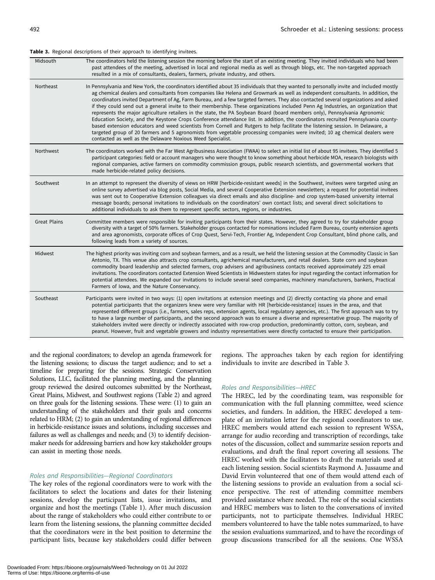#### <span id="page-4-0"></span>Table 3. Regional descriptions of their approach to identifying invitees.

| Midsouth            | The coordinators held the listening session the morning before the start of an existing meeting. They invited individuals who had been<br>past attendees of the meeting, advertised in local and regional media as well as through blogs, etc. The non-targeted approach<br>resulted in a mix of consultants, dealers, farmers, private industry, and others.                                                                                                                                                                                                                                                                                                                                                                                                                                                                                                                                                                                                                                                                                                                                                                                                  |
|---------------------|----------------------------------------------------------------------------------------------------------------------------------------------------------------------------------------------------------------------------------------------------------------------------------------------------------------------------------------------------------------------------------------------------------------------------------------------------------------------------------------------------------------------------------------------------------------------------------------------------------------------------------------------------------------------------------------------------------------------------------------------------------------------------------------------------------------------------------------------------------------------------------------------------------------------------------------------------------------------------------------------------------------------------------------------------------------------------------------------------------------------------------------------------------------|
| Northeast           | In Pennsylvania and New York, the coordinators identified about 35 individuals that they wanted to personally invite and included mostly<br>ag chemical dealers and consultants from companies like Helena and Growmark as well as independent consultants. In addition, the<br>coordinators invited Department of Ag, Farm Bureau, and a few targeted farmers. They also contacted several organizations and asked<br>if they could send out a general invite to their membership. These organizations included Penn Ag Industries, an organization that<br>represents the major agriculture retailers in the state, the PA Soybean Board (board members only), Pennsylvania Agronomic<br>Education Society, and the Keystone Crops Conference attendance list. In addition, the coordinators recruited Pennsylvania county-<br>based extension educators and weed scientists from Cornell and Rutgers to help facilitate the listening session. In Delaware, a<br>targeted group of 20 farmers and 5 agronomists from vegetable processing companies were invited; 10 ag chemical dealers were<br>contacted as well as the Delaware Noxious Weed Specialist. |
| Northwest           | The coordinators worked with the Far West Agribusiness Association (FWAA) to select an initial list of about 95 invitees. They identified 5<br>participant categories: field or account managers who were thought to know something about herbicide MOA, research biologists with<br>regional companies, active farmers on commodity commission groups, public research scientists, and governmental workers that<br>made herbicide-related policy decisions.                                                                                                                                                                                                                                                                                                                                                                                                                                                                                                                                                                                                                                                                                                  |
| Southwest           | In an attempt to represent the diversity of views on HRW [herbicide-resistant weeds] in the Southwest, invitees were targeted using an<br>online survey advertised via blog posts, Social Media, and several Cooperative Extension newsletters; a request for potential invitees<br>was sent out to Cooperative Extension colleagues via direct emails and also discipline- and crop system-based university internal<br>message boards; personal invitations to individuals on the coordinators' own contact lists; and several direct solicitations to<br>additional individuals to ask them to represent specific sectors, regions, or industries.                                                                                                                                                                                                                                                                                                                                                                                                                                                                                                          |
| <b>Great Plains</b> | Committee members were responsible for inviting participants from their states. However, they agreed to try for stakeholder group<br>diversity with a target of 50% farmers. Stakeholder groups contacted for nominations included Farm Bureau, county extension agents<br>and area agronomists, corporate offices of Crop Quest, Servi-Tech, Frontier Ag, Independent Crop Consultant, blind phone calls, and<br>following leads from a variety of sources.                                                                                                                                                                                                                                                                                                                                                                                                                                                                                                                                                                                                                                                                                                   |
| Midwest             | The highest priority was inviting corn and soybean farmers, and as a result, we held the listening session at the Commodity Classic in San<br>Antonio, TX. This venue also attracts crop consultants, agrichemical manufacturers, and retail dealers. State corn and soybean<br>commodity board leadership and selected farmers, crop advisers and agribusiness contacts received approximately 225 email<br>invitations. The coordinators contacted Extension Weed Scientists in Midwestern states for input regarding the contact information for<br>potential attendees. We expanded our invitations to include several seed companies, machinery manufacturers, bankers, Practical<br>Farmers of Iowa, and the Nature Conservancy.                                                                                                                                                                                                                                                                                                                                                                                                                         |
| Southeast           | Participants were invited in two ways: (1) open invitations at extension meetings and (2) directly contacting via phone and email<br>potential participants that the organizers knew were very familiar with HR [herbicide-resistance] issues in the area, and that<br>represented different groups (i.e., farmers, sales reps, extension agents, local regulatory agencies, etc.). The first approach was to try<br>to have a large number of participants, and the second approach was to ensure a diverse and representative group. The majority of<br>stakeholders invited were directly or indirectly associated with row-crop production, predominantly cotton, corn, soybean, and<br>peanut. However, fruit and vegetable growers and industry representatives were directly contacted to ensure their participation.                                                                                                                                                                                                                                                                                                                                   |

and the regional coordinators; to develop an agenda framework for the listening sessions; to discuss the target audience; and to set a timeline for preparing for the sessions. Strategic Conservation Solutions, LLC, facilitated the planning meeting, and the planning group reviewed the desired outcomes submitted by the Northeast, Great Plains, Midwest, and Southwest regions ([Table 2](#page-3-0)) and agreed on three goals for the listening sessions. These were: (1) to gain an understanding of the stakeholders and their goals and concerns related to HRM; (2) to gain an understanding of regional differences in herbicide-resistance issues and solutions, including successes and failures as well as challenges and needs; and (3) to identify decisionmaker needs for addressing barriers and how key stakeholder groups can assist in meeting those needs.

#### Roles and Responsibilities—Regional Coordinators

The key roles of the regional coordinators were to work with the facilitators to select the locations and dates for their listening sessions, develop the participant lists, issue invitations, and organize and host the meetings ([Table 1](#page-2-0)). After much discussion about the range of stakeholders who could either contribute to or learn from the listening sessions, the planning committee decided that the coordinators were in the best position to determine the participant lists, because key stakeholders could differ between

Downloaded From: https://bioone.org/journals/Weed-Technology on 01 Jul 2022 Terms of Use: https://bioone.org/terms-of-use

regions. The approaches taken by each region for identifying individuals to invite are described in Table 3.

# Roles and Responsibilities—HREC

The HREC, led by the coordinating team, was responsible for communication with the full planning committee, weed science societies, and funders. In addition, the HREC developed a template of an invitation letter for the regional coordinators to use. HREC members would attend each session to represent WSSA, arrange for audio recording and transcription of recordings, take notes of the discussion, collect and summarize session reports and evaluations, and draft the final report covering all sessions. The HREC worked with the facilitators to draft the materials used at each listening session. Social scientists Raymond A. Jussaume and David Ervin volunteered that one of them would attend each of the listening sessions to provide an evaluation from a social science perspective. The rest of attending committee members provided assistance where needed. The role of the social scientists and HREC members was to listen to the conversations of invited participants, not to participate themselves. Individual HREC members volunteered to have the table notes summarized, to have the session evaluations summarized, and to have the recordings of group discussions transcribed for all the sessions. One WSSA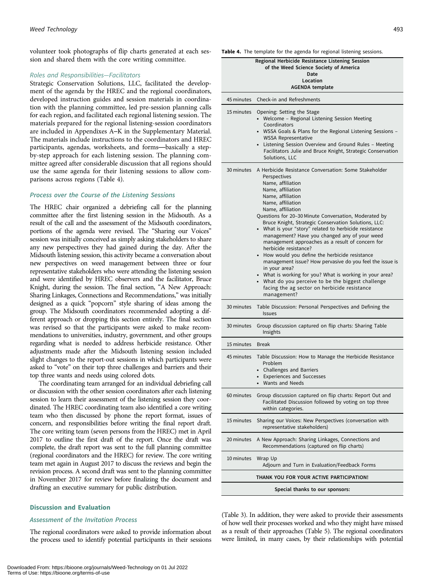volunteer took photographs of flip charts generated at each session and shared them with the core writing committee.

#### Roles and Responsibilities—Facilitators

Strategic Conservation Solutions, LLC, facilitated the development of the agenda by the HREC and the regional coordinators, developed instruction guides and session materials in coordination with the planning committee, led pre-session planning calls for each region, and facilitated each regional listening session. The materials prepared for the regional listening-session coordinators are included in Appendixes A–K in the Supplementary Material. The materials include instructions to the coordinators and HREC participants, agendas, worksheets, and forms—basically a stepby-step approach for each listening session. The planning committee agreed after considerable discussion that all regions should use the same agenda for their listening sessions to allow comparisons across regions (Table 4).

#### Process over the Course of the Listening Sessions

The HREC chair organized a debriefing call for the planning committee after the first listening session in the Midsouth. As a result of the call and the assessment of the Midsouth coordinators, portions of the agenda were revised. The "Sharing our Voices" session was initially conceived as simply asking stakeholders to share any new perspectives they had gained during the day. After the Midsouth listening session, this activity became a conversation about new perspectives on weed management between three or four representative stakeholders who were attending the listening session and were identified by HREC observers and the facilitator, Bruce Knight, during the session. The final section, "A New Approach: Sharing Linkages, Connections and Recommendations," was initially designed as a quick "popcorn" style sharing of ideas among the group. The Midsouth coordinators recommended adopting a different approach or dropping this section entirely. The final section was revised so that the participants were asked to make recommendations to universities, industry, government, and other groups regarding what is needed to address herbicide resistance. Other adjustments made after the Midsouth listening session included slight changes to the report-out sessions in which participants were asked to "vote" on their top three challenges and barriers and their top three wants and needs using colored dots.

The coordinating team arranged for an individual debriefing call or discussion with the other session coordinators after each listening session to learn their assessment of the listening session they coordinated. The HREC coordinating team also identified a core writing team who then discussed by phone the report format, issues of concern, and responsibilities before writing the final report draft. The core writing team (seven persons from the HREC) met in April 2017 to outline the first draft of the report. Once the draft was complete, the draft report was sent to the full planning committee (regional coordinators and the HREC) for review. The core writing team met again in August 2017 to discuss the reviews and begin the revision process. A second draft was sent to the planning committee in November 2017 for review before finalizing the document and drafting an executive summary for public distribution.

### Discussion and Evaluation

### Assessment of the Invitation Process

The regional coordinators were asked to provide information about the process used to identify potential participants in their sessions

Table 4. The template for the agenda for regional listening sessions.

| Regional Herbicide Resistance Listening Session<br>of the Weed Science Society of America<br>Date<br>Location<br>AGENDA template |                                                                                                                                                                                                                                                                                                                                                                                                                                                                                                                                                                                                                                                                                                                                                                                                                   |  |
|----------------------------------------------------------------------------------------------------------------------------------|-------------------------------------------------------------------------------------------------------------------------------------------------------------------------------------------------------------------------------------------------------------------------------------------------------------------------------------------------------------------------------------------------------------------------------------------------------------------------------------------------------------------------------------------------------------------------------------------------------------------------------------------------------------------------------------------------------------------------------------------------------------------------------------------------------------------|--|
| 45 minutes                                                                                                                       | Check-in and Refreshments                                                                                                                                                                                                                                                                                                                                                                                                                                                                                                                                                                                                                                                                                                                                                                                         |  |
| 15 minutes                                                                                                                       | Opening: Setting the Stage<br>Welcome - Regional Listening Session Meeting<br>Coordinators<br>• WSSA Goals & Plans for the Regional Listening Sessions -<br><b>WSSA Representative</b><br>Listening Session Overview and Ground Rules - Meeting<br>Facilitators Julie and Bruce Knight, Strategic Conservation<br>Solutions, LLC                                                                                                                                                                                                                                                                                                                                                                                                                                                                                  |  |
| 30 minutes                                                                                                                       | A Herbicide Resistance Conversation: Some Stakeholder<br>Perspectives<br>Name, affiliation<br>Name, affiliation<br>Name, affiliation<br>Name, affiliation<br>Name, affiliation<br>Questions for 20-30 Minute Conversation, Moderated by<br>Bruce Knight, Strategic Conservation Solutions, LLC:<br>What is your "story" related to herbicide resistance<br>management? Have you changed any of your weed<br>management approaches as a result of concern for<br>herbicide resistance?<br>How would you define the herbicide resistance<br>$\bullet$<br>management issue? How pervasive do you feel the issue is<br>in your area?<br>• What is working for you? What is working in your area?<br>• What do you perceive to be the biggest challenge<br>facing the ag sector on herbicide resistance<br>management? |  |
| 30 minutes                                                                                                                       | Table Discussion: Personal Perspectives and Defining the<br><b>Issues</b>                                                                                                                                                                                                                                                                                                                                                                                                                                                                                                                                                                                                                                                                                                                                         |  |
| 30 minutes                                                                                                                       | Group discussion captured on flip charts: Sharing Table<br>Insights                                                                                                                                                                                                                                                                                                                                                                                                                                                                                                                                                                                                                                                                                                                                               |  |
| 15 minutes                                                                                                                       | <b>Break</b>                                                                                                                                                                                                                                                                                                                                                                                                                                                                                                                                                                                                                                                                                                                                                                                                      |  |
| 45 minutes                                                                                                                       | Table Discussion: How to Manage the Herbicide Resistance<br>Problem<br>• Challenges and Barriers<br>• Experiences and Successes<br>Wants and Needs                                                                                                                                                                                                                                                                                                                                                                                                                                                                                                                                                                                                                                                                |  |
| 60 minutes                                                                                                                       | Group discussion captured on flip charts: Report Out and<br>Facilitated Discussion followed by voting on top three<br>within categories.                                                                                                                                                                                                                                                                                                                                                                                                                                                                                                                                                                                                                                                                          |  |
| 15 minutes                                                                                                                       | Sharing our Voices: New Perspectives (conversation with<br>representative stakeholders)                                                                                                                                                                                                                                                                                                                                                                                                                                                                                                                                                                                                                                                                                                                           |  |
| 20 minutes                                                                                                                       | A New Approach: Sharing Linkages, Connections and<br>Recommendations (captured on flip charts)                                                                                                                                                                                                                                                                                                                                                                                                                                                                                                                                                                                                                                                                                                                    |  |
| 10 minutes                                                                                                                       | Wrap Up<br>Adjourn and Turn in Evaluation/Feedback Forms                                                                                                                                                                                                                                                                                                                                                                                                                                                                                                                                                                                                                                                                                                                                                          |  |
| THANK YOU FOR YOUR ACTIVE PARTICIPATION!                                                                                         |                                                                                                                                                                                                                                                                                                                                                                                                                                                                                                                                                                                                                                                                                                                                                                                                                   |  |
| Special thanks to our sponsors:                                                                                                  |                                                                                                                                                                                                                                                                                                                                                                                                                                                                                                                                                                                                                                                                                                                                                                                                                   |  |

([Table 3\)](#page-4-0). In addition, they were asked to provide their assessments of how well their processes worked and who they might have missed as a result of their approaches [\(Table 5](#page-6-0)). The regional coordinators were limited, in many cases, by their relationships with potential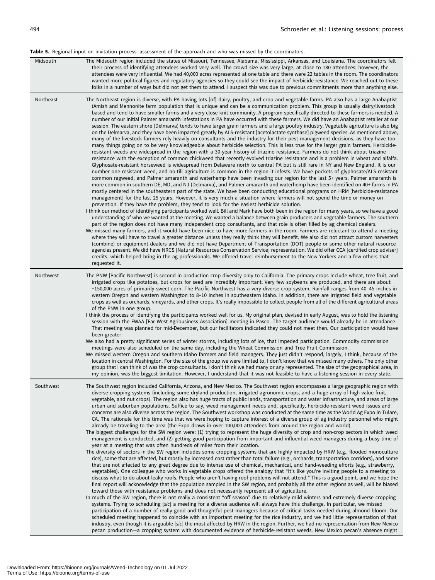### <span id="page-6-0"></span>Table 5. Regional input on invitation process: assessment of the approach and who was missed by the coordinators.

| Midsouth  | The Midsouth region included the states of Missouri, Tennessee, Alabama, Mississippi, Arkansas, and Louisiana. The coordinators felt<br>their process of identifying attendees worked very well. The crowd size was very large, at close to 180 attendees; however, the<br>attendees were very influential. We had 40,000 acres represented at one table and there were 22 tables in the room. The coordinators<br>wanted more political figures and regulatory agencies so they could see the impact of herbicide resistance. We reached out to these<br>folks in a number of ways but did not get them to attend. I suspect this was due to previous commitments more than anything else.                                                                                                                                                                                                                                                                                                                                                                                                                                                                                                                                                                                                                                                                                                                                                                                                                                                                                                                                                                                                                                                                                                                                                                                                                                                                                                                                                                                                                                                                                                                                                                                                                                                                                                                                                                                                                                                                                                                                                                                                                                                                                                                                                                                                                                                                                                                                                                                                                                                                                                                                                                                                                                                                                                                             |
|-----------|-------------------------------------------------------------------------------------------------------------------------------------------------------------------------------------------------------------------------------------------------------------------------------------------------------------------------------------------------------------------------------------------------------------------------------------------------------------------------------------------------------------------------------------------------------------------------------------------------------------------------------------------------------------------------------------------------------------------------------------------------------------------------------------------------------------------------------------------------------------------------------------------------------------------------------------------------------------------------------------------------------------------------------------------------------------------------------------------------------------------------------------------------------------------------------------------------------------------------------------------------------------------------------------------------------------------------------------------------------------------------------------------------------------------------------------------------------------------------------------------------------------------------------------------------------------------------------------------------------------------------------------------------------------------------------------------------------------------------------------------------------------------------------------------------------------------------------------------------------------------------------------------------------------------------------------------------------------------------------------------------------------------------------------------------------------------------------------------------------------------------------------------------------------------------------------------------------------------------------------------------------------------------------------------------------------------------------------------------------------------------------------------------------------------------------------------------------------------------------------------------------------------------------------------------------------------------------------------------------------------------------------------------------------------------------------------------------------------------------------------------------------------------------------------------------------------------------------------------------------------------------------------------------------------------------------------------------------------------------------------------------------------------------------------------------------------------------------------------------------------------------------------------------------------------------------------------------------------------------------------------------------------------------------------------------------------------------------------------------------------------------------------------------------------------|
| Northeast | The Northeast region is diverse, with PA having lots [of] dairy, poultry, and crop and vegetable farms. PA also has a large Anabaptist<br>(Amish and Mennonite farm population that is unique and can be a communication problem. This group is usually dairy/livestock<br>based and tend to have smaller farms and a very close-knit community. A program specifically directed to these farmers is needed. A<br>number of our initial Palmer amaranth infestations in PA have occurred with these farmers. We did have an Anabaptist retailer at our<br>session. The eastern shore (Delmarva) tends to have larger grain farmers and a large poultry industry. Vegetable agriculture is also big<br>on the Delmarva, and they have been impacted greatly by ALS-resistant [acetolactate synthase] pigweed species. As mentioned above,<br>many of the livestock farmers rely heavily on consultants and the industry for their pest management decisions, as they have too<br>many things going on to be very knowledgeable about herbicide selection. This is less true for the larger grain farmers. Herbicide-<br>resistant weeds are widespread in the region with a 30-year history of triazine resistance. Farmers do not think about triazine<br>resistance with the exception of common chickweed that recently evolved triazine resistance and is a problem in wheat and alfalfa.<br>Glyphosate-resistant horseweed is widespread from Delaware north to central PA but is still rare in NY and New England. It is our<br>number one resistant weed, and no-till agriculture is common in the region it infests. We have pockets of glyphosate/ALS-resistant<br>common ragweed, and Palmer amaranth and waterhemp have been invading our region for the last 5+ years. Palmer amaranth is<br>more common in southern DE, MD, and NJ (Delmarva), and Palmer amaranth and waterhemp have been identified on 40+ farms in PA<br>mostly centered in the southeastern part of the state. We have been conducting educational programs on HRM [herbicide-resistance<br>management] for the last 25 years. However, it is very much a situation where farmers will not spend the time or money on<br>prevention. If they have the problem, they tend to look for the easiest herbicide solution.<br>I think our method of identifying participants worked well. Bill and Mark have both been in the region for many years, so we have a good<br>understanding of who we wanted at the meeting. We wanted a balance between grain producers and vegetable farmers. The southern<br>part of the region does not have many independent crop consultants, and that role is often filled by ag chemical dealers.<br>We missed many farmers, and it would have been nice to have more farmers in the room. Farmers are reluctant to attend a meeting<br>where they will have to travel a greater distance unless they really think they will benefit. We also did not attract custom harvesters<br>(combine) or equipment dealers and we did not have Department of Transportation (DOT) people or some other natural resource<br>agencies present. We did have NRCS [Natural Resources Conservation Service] representation. We did offer CCA [certified crop adviser]<br>credits, which helped bring in the ag professionals. We offered travel reimbursement to the New Yorkers and a few others that<br>requested it. |
| Northwest | The PNW [Pacific Northwest] is second in production crop diversity only to California. The primary crops include wheat, tree fruit, and<br>irrigated crops like potatoes, but crops for seed are incredibly important. Very few soybeans are produced, and there are about<br>~150,000 acres of primarily sweet corn. The Pacific Northwest has a very diverse crop system. Rainfall ranges from 40–45 inches in<br>western Oregon and western Washington to 8-10 inches in southeastern Idaho. In addition, there are irrigated field and vegetable<br>crops as well as orchards, vineyards, and other crops. It's really impossible to collect people from all of the different agricultural areas<br>of the PNW in one group.<br>I think the process of identifying the participants worked well for us. My original plan, devised in early August, was to hold the listening<br>session with the FWAA [Far West Agribusiness Association] meeting in Pasco. The target audience would already be in attendance.<br>That meeting was planned for mid-December, but our facilitators indicated they could not meet then. Our participation would have<br>been greater.<br>We also had a pretty significant series of winter storms, including lots of ice, that impeded participation. Commodity commission<br>meetings were also scheduled on the same day, including the Wheat Commission and Tree Fruit Commission.<br>We missed western Oregon and southern Idaho farmers and field managers. They just didn't respond, largely, I think, because of the<br>location in central Washington. For the size of the group we were limited to, I don't know that we missed many others. The only other<br>group that I can think of was the crop consultants. I don't think we had many or any represented. The size of the geographical area, in<br>my opinion, was the biggest limitation. However, I understand that it was not feasible to have a listening session in every state.                                                                                                                                                                                                                                                                                                                                                                                                                                                                                                                                                                                                                                                                                                                                                                                                                                                                                                                                                                                                                                                                                                                                                                                                                                                                                                                                                                                                                                |
| Southwest | The Southwest region included California, Arizona, and New Mexico. The Southwest region encompasses a large geographic region with<br>diverse cropping systems (including some dryland production, irrigated agronomic crops, and a huge array of high-value fruit,<br>vegetable, and nut crops). The region also has huge tracts of public lands, transportation and water infrastructure, and areas of large<br>urban and suburban populations. Suffice to say, weed management needs and, specifically, herbicide-resistant weed issues and<br>concerns are also diverse across the region. The Southwest workshop was conducted at the same time as the World Ag Expo in Tulare,<br>CA. The rationale for this time was that we were hoping to capture interest of a diverse group of ag industry personnel who might<br>already be traveling to the area (the Expo draws in over 100,000 attendees from around the region and world).<br>The biggest challenges for the SW region were: (1) trying to represent the huge diversity of crop and non-crop sectors in which weed<br>management is conducted, and (2) getting good participation from important and influential weed managers during a busy time of<br>year at a meeting that was often hundreds of miles from their location.<br>The diversity of sectors in the SW region includes some cropping systems that are highly impacted by HRW (e.g., flooded monoculture<br>rice), some that are affected, but mostly by increased cost rather than total failure (e.g., orchards, transportation corridors), and some<br>that are not affected to any great degree due to intense use of chemical, mechanical, and hand-weeding efforts (e.g., strawberry,<br>vegetables). One colleague who works in vegetable crops offered the analogy that "It's like you're inviting people to a meeting to<br>discuss what to do about leaky roofs. People who aren't having roof problems will not attend." This is a good point, and we hope the<br>final report will acknowledge that the population sampled in the SW region, and probably all the other regions as well, will be biased<br>toward those with resistance problems and does not necessarily represent all of agriculture.<br>In much of the SW region, there is not really a consistent "off season" due to relatively mild winters and extremely diverse cropping<br>systems. Trying to scheduling [sic] a meeting for a diverse audience will always have this challenge. In particular, we missed<br>participation of a number of really good and thoughtful pest managers because of critical tasks needed during almond bloom. Our<br>scheduled meeting happened to coincide with an important meeting for the rice industry, and we had little representation of that<br>industry, even though it is arguable [sic] the most affected by HRW in the region. Further, we had no representation from New Mexico<br>pecan production—a cropping system with documented evidence of herbicide-resistant weeds. New Mexico pecan's absence might                                                                                                                                                                                                                                                                                                                                               |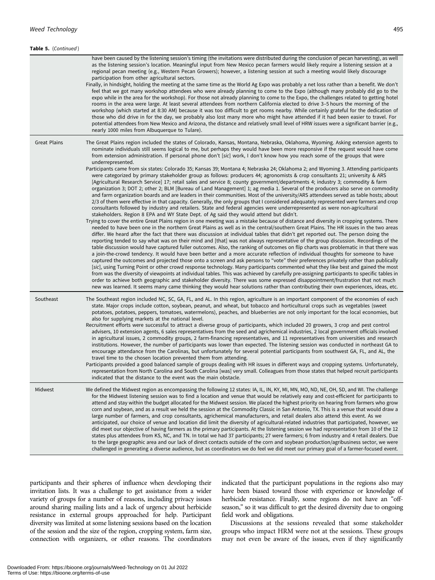| Table 5. (Continued) |                                                                                                                                                                                                                                                                                                                                                                                                                                                                                                                                                                                                                                                                                                                                                                                                                                                                                                                                                                                                                                                                                                                                                                                                                                                                                                                                                                                                                                                                                                                                                                                                                                                                                                                                                                                                                                                                                                                                                                                                                                                                                                                                                                                                                                                                                                                                                                                                                                                                                                                                                                                                                                                                                                                                                                                                                                                                                                                                                                                                                         |
|----------------------|-------------------------------------------------------------------------------------------------------------------------------------------------------------------------------------------------------------------------------------------------------------------------------------------------------------------------------------------------------------------------------------------------------------------------------------------------------------------------------------------------------------------------------------------------------------------------------------------------------------------------------------------------------------------------------------------------------------------------------------------------------------------------------------------------------------------------------------------------------------------------------------------------------------------------------------------------------------------------------------------------------------------------------------------------------------------------------------------------------------------------------------------------------------------------------------------------------------------------------------------------------------------------------------------------------------------------------------------------------------------------------------------------------------------------------------------------------------------------------------------------------------------------------------------------------------------------------------------------------------------------------------------------------------------------------------------------------------------------------------------------------------------------------------------------------------------------------------------------------------------------------------------------------------------------------------------------------------------------------------------------------------------------------------------------------------------------------------------------------------------------------------------------------------------------------------------------------------------------------------------------------------------------------------------------------------------------------------------------------------------------------------------------------------------------------------------------------------------------------------------------------------------------------------------------------------------------------------------------------------------------------------------------------------------------------------------------------------------------------------------------------------------------------------------------------------------------------------------------------------------------------------------------------------------------------------------------------------------------------------------------------------------------|
|                      | have been caused by the listening session's timing (the invitations were distributed during the conclusion of pecan harvesting), as well<br>as the listening session's location. Meaningful input from New Mexico pecan farmers would likely require a listening session at a<br>regional pecan meeting (e.g., Western Pecan Growers); however, a listening session at such a meeting would likely discourage<br>participation from other agricultural sectors.<br>Finally, in hindsight, holding the meeting at the same time as the World Ag Expo was probably a net loss rather than a benefit. We don't<br>feel that we got many workshop attendees who were already planning to come to the Expo (although many probably did go to the<br>expo while in the area for the workshop). For those not already planning to come to the Expo, the challenges related to getting hotel<br>rooms in the area were large. At least several attendees from northern California elected to drive 3-5 hours the morning of the<br>workshop (which started at 8:30 AM) because it was too difficult to get rooms nearby. While certainly grateful for the dedication of<br>those who did drive in for the day, we probably also lost many more who might have attended if it had been easier to travel. For<br>potential attendees from New Mexico and Arizona, the distance and relatively small level of HRW issues were a significant barrier (e.g.,<br>nearly 1000 miles from Albuquerque to Tulare).                                                                                                                                                                                                                                                                                                                                                                                                                                                                                                                                                                                                                                                                                                                                                                                                                                                                                                                                                                                                                                                                                                                                                                                                                                                                                                                                                                                                                                                                                                                       |
| <b>Great Plains</b>  | The Great Plains region included the states of Colorado, Kansas, Montana, Nebraska, Oklahoma, Wyoming. Asking extension agents to<br>nominate individuals still seems logical to me, but perhaps they would have been more responsive if the request would have come<br>from extension administration. If personal phone don't [sic] work, I don't know how you reach some of the groups that were<br>underrepresented.<br>Participants came from six states: Colorado 35; Kansas 39; Montana 4; Nebraska 24; Oklahoma 2; and Wyoming 3. Attending participants<br>were categorized by primary stakeholder group as follows: producers 44; agronomists & crop consultants 21; university & ARS<br>[Agricultural Research Service] 17; retail sales and service 8; county government/departments 4; industry 3; commodity & farm<br>organization 3; DOT 2; other 2; BLM [Bureau of Land Management] 1; ag media 1. Several of the producers also serve on commodity<br>and farm organization boards and are leaders in their communities. Most of the university/ARS attendees served as table hosts; about<br>2/3 of them were effective in that capacity. Generally, the only groups that I considered adequately represented were farmers and crop<br>consultants followed by industry and retailers. State and federal agencies were underrepresented as were non-agricultural<br>stakeholders. Region 8 EPA and WY State Dept. of Ag said they would attend but didn't.<br>Trying to cover the entire Great Plains region in one meeting was a mistake because of distance and diversity in cropping systems. There<br>needed to have been one in the northern Great Plains as well as in the central/southern Great Plains. The HR issues in the two areas<br>differ. We heard after the fact that there was discussion at individual tables that didn't get reported out. The person doing the<br>reporting tended to say what was on their mind and [that] was not always representative of the group discussion. Recordings of the<br>table discussion would have captured fuller outcomes. Also, the ranking of outcomes on flip charts was problematic in that there was<br>a join-the-crowd tendency. It would have been better and a more accurate reflection of individual thoughts for someone to have<br>captured the outcomes and projected those onto a screen and ask persons to "vote" their preferences privately rather than publically<br>[sic], using Turning Point or other crowd response technology. Many participants commented what they like best and gained the most<br>from was the diversity of viewpoints at individual tables. This was achieved by carefully pre-assigning participants to specific tables in<br>order to achieve both geographic and stakeholder diversity. There was some expressed disappointment/frustration that not much<br>new was learned. It seems many came thinking they would hear solutions rather than contributing their own experiences, ideas, etc. |
| Southeast            | The Southeast region included NC, SC, GA, FL, and AL. In this region, agriculture is an important component of the economies of each<br>state. Major crops include cotton, soybean, peanut, and wheat, but tobacco and horticultural crops such as vegetables (sweet<br>potatoes, potatoes, peppers, tomatoes, watermelons), peaches, and blueberries are not only important for the local economies, but<br>also for supplying markets at the national level.<br>Recruitment efforts were successful to attract a diverse group of participants, which included 20 growers, 3 crop and pest control<br>advisers, 10 extension agents, 6 sales representatives from the seed and agrichemical industries, 2 local government officials involved<br>in agricultural issues, 2 commodity groups, 2 farm-financing representatives, and 11 representatives from universities and research<br>institutions. However, the number of participants was lower than expected. The listening session was conducted in northeast GA to<br>encourage attendance from the Carolinas, but unfortunately for several potential participants from southwest GA, FL, and AL, the<br>travel time to the chosen location prevented them from attending.<br>Participants provided a good balanced sample of groups dealing with HR issues in different ways and cropping systems. Unfortunately,<br>representation from North Carolina and South Carolina [was] very small. Colleagues from those states that helped recruit participants<br>indicated that the distance to the event was the main obstacle.                                                                                                                                                                                                                                                                                                                                                                                                                                                                                                                                                                                                                                                                                                                                                                                                                                                                                                                                                                                                                                                                                                                                                                                                                                                                                                                                                                                                                                |
| Midwest              | We defined the Midwest region as encompassing the following 12 states: IA, IL, IN, KY, MI, MN, MO, ND, NE, OH, SD, and WI. The challenge<br>for the Midwest listening session was to find a location and venue that would be relatively easy and cost-efficient for participants to<br>attend and stay within the budget allocated for the Midwest session. We placed the highest priority on hearing from farmers who grow<br>corn and soybean, and as a result we held the session at the Commodity Classic in San Antonio, TX. This is a venue that would draw a<br>large number of farmers, and crop consultants, agrichemical manufacturers, and retail dealers also attend this event. As we<br>anticipated, our choice of venue and location did limit the diversity of agricultural-related industries that participated, however, we<br>did meet our objective of having farmers as the primary participants. At the listening session we had representation from 10 of the 12<br>states plus attendees from KS, NC, and TN. In total we had 37 participants; 27 were farmers; 6 from industry and 4 retail dealers. Due<br>to the large geographic area and our lack of direct contacts outside of the corn and soybean production/agribusiness sector, we were<br>challenged in generating a diverse audience, but as coordinators we do feel we did meet our primary goal of a farmer-focused event.                                                                                                                                                                                                                                                                                                                                                                                                                                                                                                                                                                                                                                                                                                                                                                                                                                                                                                                                                                                                                                                                                                                                                                                                                                                                                                                                                                                                                                                                                                                                                                                                        |

participants and their spheres of influence when developing their invitation lists. It was a challenge to get assistance from a wider variety of groups for a number of reasons, including privacy issues around sharing mailing lists and a lack of urgency about herbicide resistance in external groups approached for help. Participant diversity was limited at some listening sessions based on the location of the session and the size of the region, cropping system, farm size, connection with organizers, or other reasons. The coordinators indicated that the participant populations in the regions also may have been biased toward those with experience or knowledge of herbicide resistance. Finally, some regions do not have an "offseason," so it was difficult to get the desired diversity due to ongoing field work and obligations.

Discussions at the sessions revealed that some stakeholder groups who impact HRM were not at the sessions. These groups may not even be aware of the issues, even if they significantly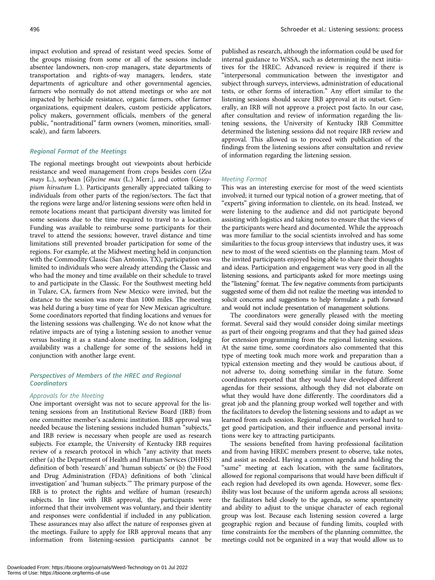impact evolution and spread of resistant weed species. Some of the groups missing from some or all of the sessions include absentee landowners, non-crop managers, state departments of transportation and rights-of-way managers, lenders, state departments of agriculture and other governmental agencies, farmers who normally do not attend meetings or who are not impacted by herbicide resistance, organic farmers, other farmer organizations, equipment dealers, custom pesticide applicators, policy makers, government officials, members of the general public, "nontraditional" farm owners (women, minorities, smallscale), and farm laborers.

# Regional Format of the Meetings

The regional meetings brought out viewpoints about herbicide resistance and weed management from crops besides corn (Zea mays L.), soybean [Glycine max (L.) Merr.], and cotton (Gossypium hirsutum L.). Participants generally appreciated talking to individuals from other parts of the region/sectors. The fact that the regions were large and/or listening sessions were often held in remote locations meant that participant diversity was limited for some sessions due to the time required to travel to a location. Funding was available to reimburse some participants for their travel to attend the sessions; however, travel distance and time limitations still prevented broader participation for some of the regions. For example, at the Midwest meeting held in conjunction with the Commodity Classic (San Antonio, TX), participation was limited to individuals who were already attending the Classic and who had the money and time available on their schedule to travel to and participate in the Classic. For the Southwest meeting held in Tulare, CA, farmers from New Mexico were invited, but the distance to the session was more than 1000 miles. The meeting was held during a busy time of year for New Mexican agriculture. Some coordinators reported that finding locations and venues for the listening sessions was challenging. We do not know what the relative impacts are of tying a listening session to another venue versus hosting it as a stand-alone meeting. In addition, lodging availability was a challenge for some of the sessions held in conjunction with another large event.

# Perspectives of Members of the HREC and Regional **Coordinators**

#### Approvals for the Meeting

One important oversight was not to secure approval for the listening sessions from an Institutional Review Board (IRB) from one committee member's academic institution. IRB approval was needed because the listening sessions included human "subjects," and IRB review is necessary when people are used as research subjects. For example, the University of Kentucky IRB requires review of a research protocol in which "any activity that meets either (a) the Department of Health and Human Services (DHHS) definition of both 'research' and 'human subjects' or (b) the Food and Drug Administration (FDA) definitions of both 'clinical investigation' and 'human subjects.'" The primary purpose of the IRB is to protect the rights and welfare of human (research) subjects. In line with IRB approval, the participants were informed that their involvement was voluntary, and their identity and responses were confidential if included in any publication. These assurances may also affect the nature of responses given at the meetings. Failure to apply for IRB approval means that any information from listening-session participants cannot be

published as research, although the information could be used for internal guidance to WSSA, such as determining the next initiatives for the HREC. Advanced review is required if there is "interpersonal communication between the investigator and subject through surveys, interviews, administration of educational tests, or other forms of interaction." Any effort similar to the listening sessions should secure IRB approval at its outset. Generally, an IRB will not approve a project post facto. In our case, after consultation and review of information regarding the listening sessions, the University of Kentucky IRB Committee determined the listening sessions did not require IRB review and approval. This allowed us to proceed with publication of the findings from the listening sessions after consultation and review of information regarding the listening session.

# Meeting Format

This was an interesting exercise for most of the weed scientists involved; it turned our typical notion of a grower meeting, that of "experts" giving information to clientele, on its head. Instead, we were listening to the audience and did not participate beyond assisting with logistics and taking notes to ensure that the views of the participants were heard and documented. While the approach was more familiar to the social scientists involved and has some similarities to the focus group interviews that industry uses, it was new to most of the weed scientists on the planning team. Most of the invited participants enjoyed being able to share their thoughts and ideas. Participation and engagement was very good in all the listening sessions, and participants asked for more meetings using the "listening" format. The few negative comments from participants suggested some of them did not realize the meeting was intended to solicit concerns and suggestions to help formulate a path forward and would not include presentation of management solutions.

The coordinators were generally pleased with the meeting format. Several said they would consider doing similar meetings as part of their ongoing programs and that they had gained ideas for extension programming from the regional listening sessions. At the same time, some coordinators also commented that this type of meeting took much more work and preparation than a typical extension meeting and they would be cautious about, if not adverse to, doing something similar in the future. Some coordinators reported that they would have developed different agendas for their sessions, although they did not elaborate on what they would have done differently. The coordinators did a great job and the planning group worked well together and with the facilitators to develop the listening sessions and to adapt as we learned from each session. Regional coordinators worked hard to get good participation, and their influence and personal invitations were key to attracting participants.

The sessions benefited from having professional facilitation and from having HREC members present to observe, take notes, and assist as needed. Having a common agenda and holding the "same" meeting at each location, with the same facilitators, allowed for regional comparisons that would have been difficult if each region had developed its own agenda. However, some flexibility was lost because of the uniform agenda across all sessions; the facilitators held closely to the agenda, so some spontaneity and ability to adjust to the unique character of each regional group was lost. Because each listening session covered a large geographic region and because of funding limits, coupled with time constraints for the members of the planning committee, the meetings could not be organized in a way that would allow us to